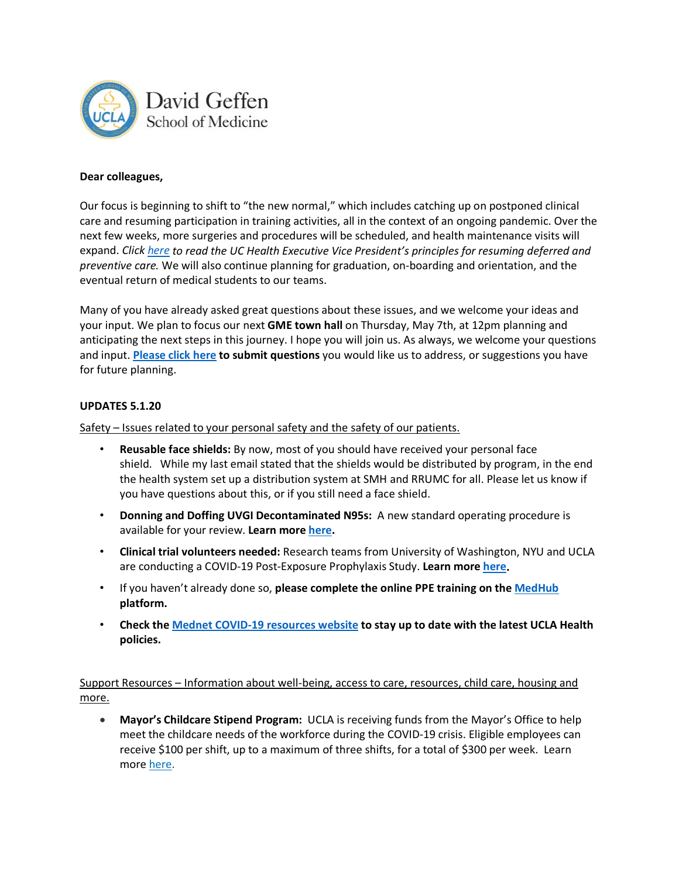

## **Dear colleagues,**

Our focus is beginning to shift to "the new normal," which includes catching up on postponed clinical care and resuming participation in training activities, all in the context of an ongoing pandemic. Over the next few weeks, more surgeries and procedures will be scheduled, and health maintenance visits will expand. *Click [here](https://mednet.uclahealth.org/covid19/uc-health-message/) to read the UC Health Executive Vice President's principles for resuming deferred and preventive care.* We will also continue planning for graduation, on-boarding and orientation, and the eventual return of medical students to our teams.

Many of you have already asked great questions about these issues, and we welcome your ideas and your input. We plan to focus our next **GME town hall** on Thursday, May 7th, at 12pm planning and anticipating the next steps in this journey. I hope you will join us. As always, we welcome your questions and input. **[Please click here](https://uclahs.az1.qualtrics.com/jfe/form/SV_9zCdQKHK3UfycS1) to submit questions** you would like us to address, or suggestions you have for future planning.

## **UPDATES 5.1.20**

Safety – Issues related to your personal safety and the safety of our patients.

- **Reusable face shields:** By now, most of you should have received your personal face shield. While my last email stated that the shields would be distributed by program, in the end the health system set up a distribution system at SMH and RRUMC for all. Please let us know if you have questions about this, or if you still need a face shield.
- **Donning and Doffing UVGI Decontaminated N95s:** A new standard operating procedure is available for your review. **Learn mor[e here.](https://uclahealth.policystat.com/policy/7984776/latest/)**
- **Clinical trial volunteers needed:** Research teams from University of Washington, NYU and UCLA are conducting a COVID-19 Post-Exposure Prophylaxis Study. **Learn more [here.](https://www.uclahealth.org/COVID-HSW-Study/ucla-healthcare-workers)**
- If you haven't already done so, **please complete the online PPE training on the [MedHub](https://ucla.medhub.com/) platform.**
- **Check the [Mednet COVID-19 resources website](https://mednet.uclahealth.org/covid19/) to stay up to date with the latest UCLA Health policies.**

Support Resources – Information about well-being, access to care, resources, child care, housing and more.

• **Mayor's Childcare Stipend Program:** UCLA is receiving funds from the Mayor's Office to help meet the childcare needs of the workforce during the COVID-19 crisis. Eligible employees can receive \$100 per shift, up to a maximum of three shifts, for a total of \$300 per week. Learn more [here.](https://mednet.uclahealth.org/covid19/2020/04/28/childcare-guidance/)